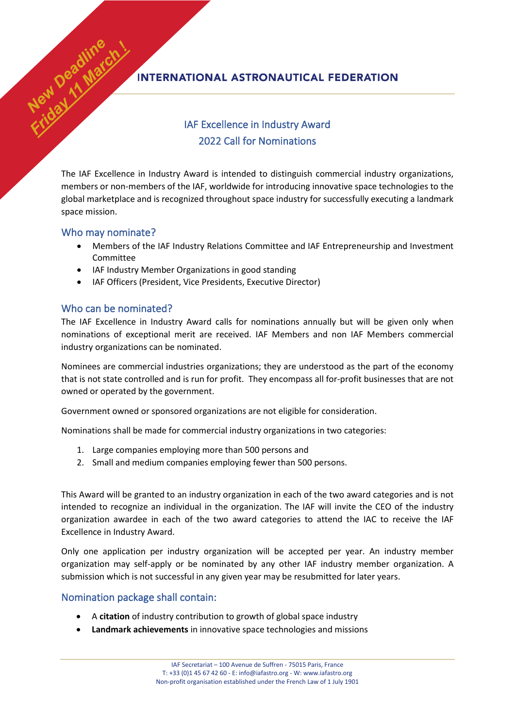## **INTERNATIONAL ASTRONAUTICAL FEDERATION**

# IAF Excellence in Industry Award 2022 Call for Nominations

The IAF Excellence in Industry Award is intended to distinguish commercial industry organizations, members or non-members of the IAF, worldwide for introducing innovative space technologies to the global marketplace and is recognized throughout space industry for successfully executing a landmark space mission.

#### Who may nominate?

New Deadline

- Members of the IAF Industry Relations Committee and IAF Entrepreneurship and Investment Committee
- IAF Industry Member Organizations in good standing
- IAF Officers (President, Vice Presidents, Executive Director)

### Who can be nominated?

The IAF Excellence in Industry Award calls for nominations annually but will be given only when nominations of exceptional merit are received. IAF Members and non IAF Members commercial industry organizations can be nominated.

Nominees are commercial industries organizations; they are understood as the part of the economy that is not state controlled and is run for profit. They encompass all for-profit businesses that are not owned or operated by the government.

Government owned or sponsored organizations are not eligible for consideration.

Nominations shall be made for commercial industry organizations in two categories:

- 1. Large companies employing more than 500 persons and
- 2. Small and medium companies employing fewer than 500 persons.

This Award will be granted to an industry organization in each of the two award categories and is not intended to recognize an individual in the organization. The IAF will invite the CEO of the industry organization awardee in each of the two award categories to attend the IAC to receive the IAF Excellence in Industry Award.

Only one application per industry organization will be accepted per year. An industry member organization may self-apply or be nominated by any other IAF industry member organization. A submission which is not successful in any given year may be resubmitted for later years.

#### Nomination package shall contain:

- A **citation** of industry contribution to growth of global space industry
- **Landmark achievements** in innovative space technologies and missions